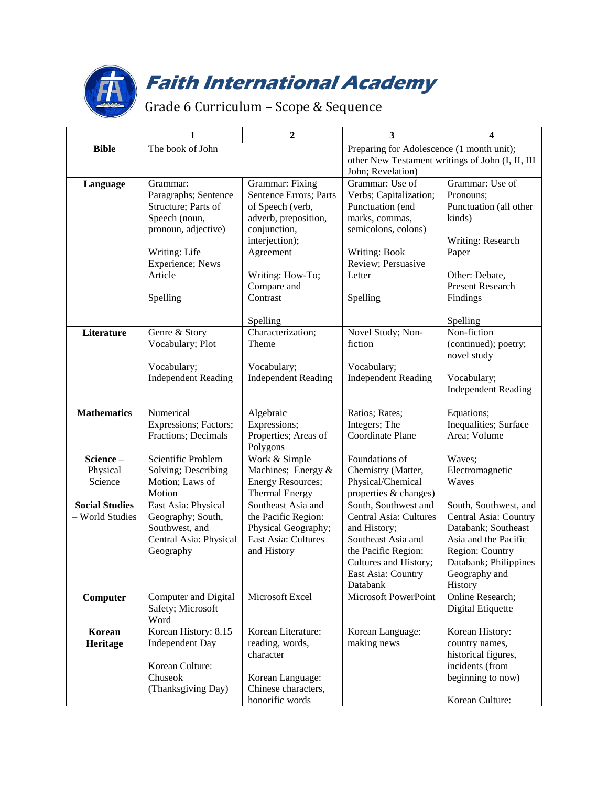

## **Faith International Academy**

## Grade 6 Curriculum – Scope & Sequence

|                       | 1                                   | $\boldsymbol{2}$                           | 3                                                | 4                                            |
|-----------------------|-------------------------------------|--------------------------------------------|--------------------------------------------------|----------------------------------------------|
| <b>Bible</b>          | The book of John                    |                                            | Preparing for Adolescence (1 month unit);        |                                              |
|                       |                                     |                                            | other New Testament writings of John (I, II, III |                                              |
|                       |                                     |                                            | John; Revelation)                                |                                              |
| Language              | Grammar:                            | Grammar: Fixing                            | Grammar: Use of                                  | Grammar: Use of                              |
|                       | Paragraphs; Sentence                | Sentence Errors; Parts                     | Verbs; Capitalization;                           | Pronouns;                                    |
|                       | Structure; Parts of                 | of Speech (verb,                           | Punctuation (end                                 | Punctuation (all other                       |
|                       | Speech (noun,                       | adverb, preposition,                       | marks, commas,                                   | kinds)                                       |
|                       | pronoun, adjective)                 | conjunction,                               | semicolons, colons)                              |                                              |
|                       |                                     | interjection);                             |                                                  | Writing: Research                            |
|                       | Writing: Life                       | Agreement                                  | <b>Writing: Book</b>                             | Paper                                        |
|                       | Experience; News                    |                                            | Review; Persuasive                               |                                              |
|                       | Article                             | Writing: How-To;                           | Letter                                           | Other: Debate,                               |
|                       |                                     | Compare and                                |                                                  | <b>Present Research</b>                      |
|                       | Spelling                            | Contrast                                   | Spelling                                         | Findings                                     |
|                       |                                     | Spelling                                   |                                                  | Spelling                                     |
| Literature            | Genre & Story                       | Characterization;                          | Novel Study; Non-                                | Non-fiction                                  |
|                       | Vocabulary; Plot                    | Theme                                      | fiction                                          | (continued); poetry;                         |
|                       |                                     |                                            |                                                  | novel study                                  |
|                       | Vocabulary;                         | Vocabulary;                                | Vocabulary;                                      |                                              |
|                       | <b>Independent Reading</b>          | <b>Independent Reading</b>                 | <b>Independent Reading</b>                       | Vocabulary;                                  |
|                       |                                     |                                            |                                                  | <b>Independent Reading</b>                   |
| <b>Mathematics</b>    | Numerical                           | Algebraic                                  | Ratios; Rates;                                   | Equations;                                   |
|                       | Expressions; Factors;               | Expressions;                               | Integers; The                                    | Inequalities; Surface                        |
|                       | Fractions; Decimals                 | Properties; Areas of                       | Coordinate Plane                                 | Area; Volume                                 |
|                       |                                     | Polygons                                   |                                                  |                                              |
| Science-              | Scientific Problem                  | Work & Simple                              | Foundations of                                   | Waves;                                       |
| Physical              | Solving; Describing                 | Machines; Energy &                         | Chemistry (Matter,                               | Electromagnetic                              |
| Science               | Motion; Laws of                     | <b>Energy Resources;</b>                   | Physical/Chemical                                | Waves                                        |
|                       | Motion                              | <b>Thermal Energy</b>                      | properties & changes)                            |                                              |
| <b>Social Studies</b> | East Asia: Physical                 | Southeast Asia and                         | South, Southwest and                             | South, Southwest, and                        |
| - World Studies       | Geography; South,<br>Southwest, and | the Pacific Region:<br>Physical Geography; | Central Asia: Cultures                           | Central Asia: Country<br>Databank; Southeast |
|                       | Central Asia: Physical              | East Asia: Cultures                        | and History;<br>Southeast Asia and               | Asia and the Pacific                         |
|                       | Geography                           | and History                                | the Pacific Region:                              | Region: Country                              |
|                       |                                     |                                            | Cultures and History;                            | Databank; Philippines                        |
|                       |                                     |                                            | East Asia: Country                               | Geography and                                |
|                       |                                     |                                            | Databank                                         | History                                      |
| Computer              | Computer and Digital                | Microsoft Excel                            | Microsoft PowerPoint                             | Online Research;                             |
|                       | Safety; Microsoft                   |                                            |                                                  | Digital Etiquette                            |
|                       | Word                                |                                            |                                                  |                                              |
| Korean                | Korean History: 8.15                | Korean Literature:                         | Korean Language:                                 | Korean History:                              |
| Heritage              | <b>Independent Day</b>              | reading, words,                            | making news                                      | country names,                               |
|                       |                                     | character                                  |                                                  | historical figures,                          |
|                       | Korean Culture:                     |                                            |                                                  | incidents (from                              |
|                       | Chuseok                             | Korean Language:                           |                                                  | beginning to now)                            |
|                       | (Thanksgiving Day)                  | Chinese characters,                        |                                                  |                                              |
|                       |                                     | honorific words                            |                                                  | Korean Culture:                              |